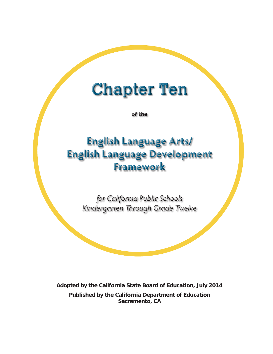# **Chapter Ten**

of the

# **English Language Arts/ English Language Development Framework**

for California Public Schools Kindergarten Through Grade Twelve

**Adopted by the California State Board of Education, July 2014 Published by the California Department of Education Sacramento, CA**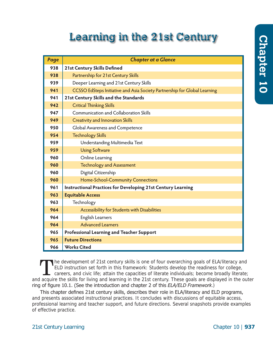# Chapter 10 **Chapter 10**

# **Learning in the 21st Century**

| Page | <b>Chapter at a Glance</b>                                                |
|------|---------------------------------------------------------------------------|
| 938  | <b>21st Century Skills Defined</b>                                        |
| 938  | Partnership for 21st Century Skills                                       |
| 939  | Deeper Learning and 21st Century Skills                                   |
| 941  | CCSSO EdSteps Initiative and Asia Society Partnership for Global Learning |
| 941  | 21st Century Skills and the Standards                                     |
| 942  | <b>Critical Thinking Skills</b>                                           |
| 947  | Communication and Collaboration Skills                                    |
| 949  | <b>Creativity and Innovation Skills</b>                                   |
| 950  | Global Awareness and Competence                                           |
| 954  | <b>Technology Skills</b>                                                  |
| 959  | Understanding Multimedia Text                                             |
| 959  | <b>Using Software</b>                                                     |
| 960  | Online Learning                                                           |
| 960  | <b>Technology and Assessment</b>                                          |
| 960  | Digital Citizenship                                                       |
| 960  | Home-School-Community Connections                                         |
| 961  | <b>Instructional Practices for Developing 21st Century Learning</b>       |
| 963  | <b>Equitable Access</b>                                                   |
| 963  | Technology                                                                |
| 964  | Accessibility for Students with Disabilities                              |
| 964  | <b>English Learners</b>                                                   |
| 964  | <b>Advanced Learners</b>                                                  |
| 965  | Professional Learning and Teacher Support                                 |
| 965  | <b>Future Directions</b>                                                  |
| 966  | <b>Works Cited</b>                                                        |

The development of 21st century skills is one of four overarching goals of ELA/literacy and<br>ELD instruction set forth in this framework: Students develop the readiness for college,<br>careers, and civic life; attain the capac he development of 21st century skills is one of four overarching goals of ELA/literacy and ELD instruction set forth in this framework: Students develop the readiness for college, careers, and civic life; attain the capacities of literate individuals; become broadly literate; ring of figure 10.1. (See the introduction and chapter 2 of this *ELA/ELD Framework*.)

This chapter defines 21st century skills, describes their role in ELA/literacy and ELD programs, and presents associated instructional practices. It concludes with discussions of equitable access, professional learning and teacher support, and future directions. Several snapshots provide examples of effective practice.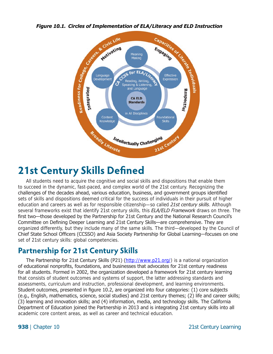

# <span id="page-2-0"></span>**21st Century Skills Defined**

All students need to acquire the cognitive and social skills and dispositions that enable them to succeed in the dynamic, fast-paced, and complex world of the 21st century. Recognizing the challenges of the decades ahead, various education, business, and government groups identified sets of skills and dispositions deemed critical for the success of individuals in their pursuit of higher education and careers as well as for responsible citizenship—so called *21st century skills*. Although several frameworks exist that identify 21st century skills, this *ELA/ELD Framework* draws on three. The first two—those developed by the Partnership for 21st Century and the National Research Council's Committee on Defining Deeper Learning and 21st Century Skills—are comprehensive. They are organized differently, but they include many of the same skills. The third—developed by the Council of Chief State School Officers (CCSSO) and Asia Society Partnership for Global Learning—focuses on one set of 21st century skills: global competencies.

# <span id="page-2-1"></span>**Partnership for 21st Century Skills**

The Partnership for 21st Century Skills (P21) (<http://www.p21.org/>) is a national organization of educational nonprofits, foundations, and businesses that advocates for 21st century readiness for all students. Formed in 2002, the organization developed a framework for 21st century learning that consists of student outcomes and systems of support, the latter addressing standards and assessments, curriculum and instruction, professional development, and learning environments. Student outcomes, presented in figure 10.2, are organized into four categories: (1) core subjects (e.g., English, mathematics, science, social studies) and 21st century themes; (2) life and career skills; (3) learning and innovation skills; and (4) information, media, and technology skills. The California Department of Education joined the Partnership in 2013 and is integrating 21st century skills into all academic core content areas, as well as career and technical education.

**938** | Chapter 10

 21st Century Learning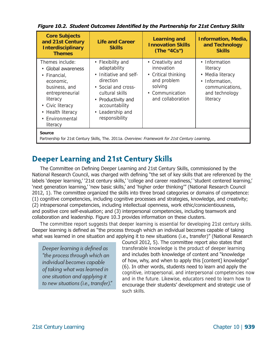| <b>Core Subjects</b><br>and 21st Century<br><b>Interdisciplinary</b><br><b>Themes</b>                                                                                                      | <b>Life and Career</b><br><b>Skills</b>                                                                                                                                                                     | <b>Learning and</b><br><b>Innovation Skills</b><br>(The "4Cs")                                                          | <b>Information, Media,</b><br>and Technology<br><b>Skills</b>                                                                  |
|--------------------------------------------------------------------------------------------------------------------------------------------------------------------------------------------|-------------------------------------------------------------------------------------------------------------------------------------------------------------------------------------------------------------|-------------------------------------------------------------------------------------------------------------------------|--------------------------------------------------------------------------------------------------------------------------------|
| Themes include:<br>• Global awareness<br>• Financial,<br>economic,<br>business, and<br>entrepreneurial<br>literacy<br>• Civic literacy<br>• Health literacy<br>• Environmental<br>literacy | • Flexibility and<br>adaptability<br>Initiative and self-<br>$\bullet$<br>direction<br>• Social and cross-<br>cultural skills<br>• Productivity and<br>accountability<br>• Leadership and<br>responsibility | • Creativity and<br>innovation<br>• Critical thinking<br>and problem<br>solving<br>• Communication<br>and collaboration | Information<br>$\bullet$<br>literacy<br>• Media literacy<br>Information,<br>٠<br>communications,<br>and technology<br>literacy |
| <b>Source</b><br>Partnership for 21st Century Skills, The. 2011a. Overview: Framework for 21st Century Learning.                                                                           |                                                                                                                                                                                                             |                                                                                                                         |                                                                                                                                |

*Figure 10.2. Student Outcomes Identified by the Partnership for 21st Century Skills* 

# <span id="page-3-0"></span>**Deeper Learning and 21st Century Skills**

The Committee on Defining Deeper Learning and 21st Century Skills, commissioned by the National Research Council, was charged with defining "the set of key skills that are referenced by the labels 'deeper learning,' '21st century skills,' 'college and career readiness,' 'student centered learning,' 'next generation learning,' 'new basic skills,' and 'higher order thinking'" (National Research Council 2012, 1). The committee organized the skills into three broad categories or domains of competence: (1) cognitive competencies, including cognitive processes and strategies, knowledge, and creativity; (2) intrapersonal competencies, including intellectual openness, work ethic/conscientiousness, and positive core self-evaluation; and (3) interpersonal competencies, including teamwork and collaboration and leadership. Figure 10.3 provides information on these clusters.

The committee report suggests that deeper learning is essential for developing 21st century skills. Deeper learning is defined as "the process through which an individual becomes capable of taking what was learned in one situation and applying it to new situations (i.e., transfer)" (National Research

*Deeper learning is defined as "the process through which an individual becomes capable of taking what was learned in one situation and applying it to new situations (i.e., transfer)."*  Council 2012, 5). The committee report also states that transferable knowledge is the product of deeper learning and includes both knowledge of content and "knowledge of how, why, and when to apply this [content] knowledge" (6). In other words, students need to learn and apply the cognitive, intrapersonal, and interpersonal competencies now and in the future. Likewise, educators need to learn how to encourage their students' development and strategic use of such skills.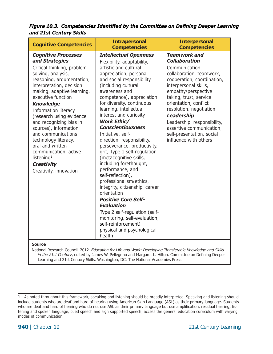*Figure 10.3. Competencies Identified by the Committee on Defining Deeper Learning and 21st Century Skills* 

| <b>Cognitive Competencies</b>                                                                                                                                                                                                                                                                                                                                                                                                                                                                                 | <b>Intrapersonal</b><br><b>Competencies</b>                                                                                                                                                                                                                                                                                                                                                                                                                                                                                                                                                                                                                                                                                                                                                                                      | <b>Interpersonal</b><br><b>Competencies</b>                                                                                                                                                                                                                                                                                                                                                 |
|---------------------------------------------------------------------------------------------------------------------------------------------------------------------------------------------------------------------------------------------------------------------------------------------------------------------------------------------------------------------------------------------------------------------------------------------------------------------------------------------------------------|----------------------------------------------------------------------------------------------------------------------------------------------------------------------------------------------------------------------------------------------------------------------------------------------------------------------------------------------------------------------------------------------------------------------------------------------------------------------------------------------------------------------------------------------------------------------------------------------------------------------------------------------------------------------------------------------------------------------------------------------------------------------------------------------------------------------------------|---------------------------------------------------------------------------------------------------------------------------------------------------------------------------------------------------------------------------------------------------------------------------------------------------------------------------------------------------------------------------------------------|
| <b>Cognitive Processes</b><br>and Strategies<br>Critical thinking, problem<br>solving, analysis,<br>reasoning, argumentation,<br>interpretation, decision<br>making, adaptive learning,<br>executive function<br><b>Knowledge</b><br>Information literacy<br>(research using evidence<br>and recognizing bias in<br>sources), information<br>and communications<br>technology literacy,<br>oral and written<br>communication, active<br>listening <sup>1</sup><br><b>Creativity</b><br>Creativity, innovation | <b>Intellectual Openness</b><br>Flexibility, adaptability,<br>artistic and cultural<br>appreciation, personal<br>and social responsibility<br>(including cultural<br>awareness and<br>competence), appreciation<br>for diversity, continuous<br>learning, intellectual<br>interest and curiosity<br><b>Work Ethic/</b><br><b>Conscientiousness</b><br>Initiative, self-<br>direction, responsibility,<br>perseverance, productivity,<br>grit, Type 1 self-regulation<br>(metacognitive skills,<br>including forethought,<br>performance, and<br>self-reflection),<br>professionalism/ethics,<br>integrity, citizenship, career<br>orientation<br><b>Positive Core Self-</b><br><b>Evaluation</b><br>Type 2 self-regulation (self-<br>monitoring, self-evaluation,<br>self-reinforcement)<br>physical and psychological<br>health | <b>Teamwork and</b><br><b>Collaboration</b><br>Communication,<br>collaboration, teamwork,<br>cooperation, coordination,<br>interpersonal skills,<br>empathy/perspective<br>taking, trust, service<br>orientation, conflict<br>resolution, negotiation<br><b>Leadership</b><br>Leadership, responsibility,<br>assertive communication,<br>self-presentation, social<br>influence with others |

**Source** 

National Research Council. 2012. *Education for Life and Work: Developing Transferable Knowledge and Skills in the 21st Century*, edited by James W. Pellegrino and Margaret L. Hilton. Committee on Defining Deeper Learning and 21st Century Skills. Washington, DC: The National Academies Press.

<sup>1</sup> As noted throughout this framework, speaking and listening should be broadly interpreted. Speaking and listening should include students who are deaf and hard of hearing using American Sign Language (ASL) as their primary language. Students who are deaf and hard of hearing who do not use ASL as their primary language but use amplification, residual hearing, listening and spoken language, cued speech and sign supported speech, access the general education curriculum with varying modes of communication.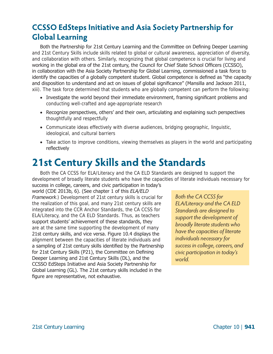# <span id="page-5-0"></span>**CCSSO EdSteps Initiative and Asia Society Partnership for Global Learning**

Both the Partnership for 21st Century Learning and the Committee on Defining Deeper Learning and 21st Century Skills include skills related to global or cultural awareness, appreciation of diversity, and collaboration with others. Similarly, recognizing that global competence is crucial for living and working in the global era of the 21st century, the Council for Chief State School Officers (CCSSO), in collaboration with the Asia Society Partnership for Global Learning, commissioned a task force to identify the capacities of a globally competent student. Global competence is defined as "the capacity and disposition to understand and act on issues of global significance" (Mansilla and Jackson 2011, xiii). The task force determined that students who are globally competent can perform the following:

- Investigate the world beyond their immediate environment, framing significant problems and conducting well-crafted and age-appropriate research
- Recognize perspectives, others' and their own, articulating and explaining such perspectives thoughtfully and respectfully
- • Communicate ideas effectively with diverse audiences, bridging geographic, linguistic, ideological, and cultural barriers
- Take action to improve conditions, viewing themselves as players in the world and participating reflectively

# <span id="page-5-1"></span>**21st Century Skills and the Standards**

Both the CA CCSS for ELA/Literacy and the CA ELD Standards are designed to support the development of broadly literate students who have the capacities of literate individuals necessary for

success in college, careers, and civic participation in today's world (CDE 2013b, 6). (See chapter 1 of this *ELA/ELD Framework*.) Development of 21st century skills is crucial for *Both the CA CCSS for* the realization of this goal, and many 21st century skills are integrated into the CCR Anchor Standards, the CA CCSS for ELA/Literacy, and the CA ELD Standards. Thus, as teachers support students' achievement of these standards, they are at the same time supporting the development of many 21st century skills, and vice versa. Figure 10.4 displays the alignment between the capacities of literate individuals and a sampling of 21st century skills identified by the Partnership for 21st Century Skills (P21), the Committee on Defining Deeper Learning and 21st Century Skills (DL), and the CCSSO EdSteps Initiative and Asia Society Partnership for Global Learning (GL). The 21st century skills included in the figure are representative, not exhaustive.

*ELA/Literacy and the CA ELD Standards are designed to support the development of broadly literate students who have the capacities of literate individuals necessary for success in college, careers, and civic participation in today's world.*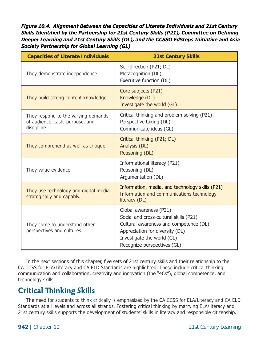*Figure 10.4. Alignment Between the Capacities of Literate Individuals and 21st Century Skills Identified by the Partnership for 21st Century Skills (P21), Committee on Defining Deeper Learning and 21st Century Skills (DL), and the CCSSO EdSteps Initiative and Asia Society Partnership for Global Learning (GL)* 

| <b>Capacities of Literate Individuals</b>                                             | <b>21st Century Skills</b>                                                                                                                                                                                 |
|---------------------------------------------------------------------------------------|------------------------------------------------------------------------------------------------------------------------------------------------------------------------------------------------------------|
| They demonstrate independence.                                                        | Self-direction (P21; DL)<br>Metacognition (DL)<br>Executive function (DL)                                                                                                                                  |
| They build strong content knowledge.                                                  | Core subjects (P21)<br>Knowledge (DL)<br>Investigate the world (GL)                                                                                                                                        |
| They respond to the varying demands<br>of audience, task, purpose, and<br>discipline. | Critical thinking and problem solving (P21)<br>Perspective taking (DL)<br>Communicate ideas (GL)                                                                                                           |
| They comprehend as well as critique.                                                  | Critical thinking (P21; DL)<br>Analysis (DL)<br>Reasoning (DL)                                                                                                                                             |
| They value evidence.                                                                  | Informational literacy (P21)<br>Reasoning (DL)<br>Argumentation (DL)                                                                                                                                       |
| They use technology and digital media<br>strategically and capably.                   | Information, media, and technology skills (P21)<br>Information and communications technology<br>literacy (DL)                                                                                              |
| They come to understand other<br>perspectives and cultures.                           | Global awareness (P21)<br>Social and cross-cultural skills (P21)<br>Cultural awareness and competence (DL)<br>Appreciation for diversity (DL)<br>Investigate the world (GL)<br>Recognize perspectives (GL) |

In the next sections of this chapter, five sets of 21st century skills and their relationship to the CA CCSS for ELA/Literacy and CA ELD Standards are highlighted. These include critical thinking, communication and collaboration, creativity and innovation (the "4Cs"), global competence, and technology skills.

## <span id="page-6-0"></span>**Critical Thinking Skills**

The need for students to think critically is emphasized by the CA CCSS for ELA/Literacy and CA ELD Standards at all levels and across all strands. Fostering critical thinking by marrying ELA/literacy and 21st century skills supports the development of students' skills in literacy and responsible citizenship.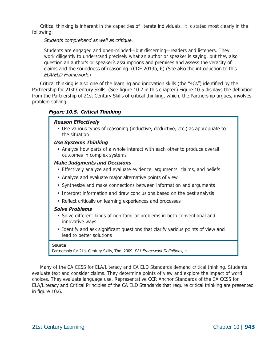Critical thinking is inherent in the capacities of literate individuals. It is stated most clearly in the following:

*Students comprehend as well as critique.* 

Students are engaged and open-minded—but discerning—readers and listeners. They work diligently to understand precisely what an author or speaker is saying, but they also question an author's or speaker's assumptions and premises and assess the veracity of claims and the soundness of reasoning. (CDE 2013b, 6) (See also the introduction to this *ELA/ELD Framework*.)

Critical thinking is also one of the learning and innovation skills (the "4Cs") identified by the Partnership for 21st Century Skills. (See figure 10.2 in this chapter.) Figure 10.5 displays the definition from the Partnership of 21st Century Skills of critical thinking, which, the Partnership argues, involves problem solving.

#### *Figure 10.5. Critical Thinking*

#### *Reason Effectively*

• Use various types of reasoning (inductive, deductive, etc.) as appropriate to the situation

#### *Use Systems Thinking*

• Analyze how parts of a whole interact with each other to produce overall outcomes in complex systems

#### *Make Judgments and Decisions*

- Effectively analyze and evaluate evidence, arguments, claims, and beliefs
- Analyze and evaluate major alternative points of view
- Synthesize and make connections between information and arguments
- Interpret information and draw conclusions based on the best analysis
- Reflect critically on learning experiences and processes

#### *Solve Problems*

- Solve different kinds of non-familiar problems in both conventional and innovative ways
- Identify and ask significant questions that clarify various points of view and lead to better solutions

#### **Source**

Partnership for 21st Century Skills, The. 2009. *P21 Framework Definitions*, 4.

Many of the CA CCSS for ELA/Literacy and CA ELD Standards demand critical thinking. Students evaluate text and consider claims. They determine points of view and explore the impact of word choices. They evaluate language use. Representative CCR Anchor Standards of the CA CCSS for ELA/Literacy and Critical Principles of the CA ELD Standards that require critical thinking are presented in figure 10.6.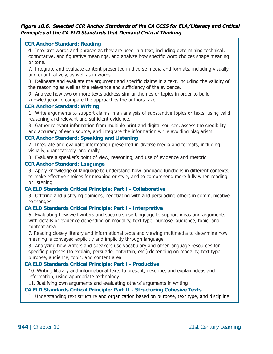#### *Figure 10.6. Selected CCR Anchor Standards of the CA CCSS for ELA/Literacy and Critical Principles of the CA ELD Standards that Demand Critical Thinking*

#### **CCR Anchor Standard: Reading**

4. Interpret words and phrases as they are used in a text, including determining technical, connotative, and figurative meanings, and analyze how specific word choices shape meaning or tone.

7. Integrate and evaluate content presented in diverse media and formats, including visually and quantitatively, as well as in words.

8. Delineate and evaluate the argument and specific claims in a text, including the validity of the reasoning as well as the relevance and sufficiency of the evidence.

9. Analyze how two or more texts address similar themes or topics in order to build knowledge or to compare the approaches the authors take.

#### **CCR Anchor Standard: Writing**

1. Write arguments to support claims in an analysis of substantive topics or texts, using valid reasoning and relevant and sufficient evidence.

8. Gather relevant information from multiple print and digital sources, assess the credibility and accuracy of each source, and integrate the information while avoiding plagiarism.

#### **CCR Anchor Standard: Speaking and Listening**

2. Integrate and evaluate information presented in diverse media and formats, including visually, quantitatively, and orally.

3. Evaluate a speaker's point of view, reasoning, and use of evidence and rhetoric.

#### **CCR Anchor Standard: Language**

3. Apply knowledge of language to understand how language functions in different contexts, to make effective choices for meaning or style, and to comprehend more fully when reading or listening.

#### **CA ELD Standards Critical Principle: Part I - Collaborative**

3. Offering and justifying opinions, negotiating with and persuading others in communicative exchanges

#### **CA ELD Standards Critical Principle: Part I - Interpretive**

6. Evaluating how well writers and speakers use language to support ideas and arguments with details or evidence depending on modality, text type, purpose, audience, topic, and content area

7. Reading closely literary and informational texts and viewing multimedia to determine how meaning is conveyed explicitly and implicitly through language

8. Analyzing how writers and speakers use vocabulary and other language resources for specific purposes (to explain, persuade, entertain, etc.) depending on modality, text type, purpose, audience, topic, and content area

#### **CA ELD Standards Critical Principle: Part I - Productive**

10. Writing literary and informational texts to present, describe, and explain ideas and information, using appropriate technology

11. Justifying own arguments and evaluating others' arguments in writing

#### **CA ELD Standards Critical Principle: Part II - Structuring Cohesive Texts**

1. Understanding text structure and organization based on purpose, text type, and discipline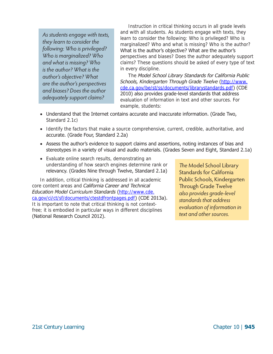*As students engage with texts, they learn to consider the following: Who is privileged? Who is marginalized? Who and what is missing? Who is the author? What is the author's objective? What are the author's perspectives and biases? Does the author adequately support claims?* 

marginalized? Who and what is missing? Who is the author? perspectives and biases? Does the author adequately support claims? These questions should be asked of every type of text Instruction in critical thinking occurs in all grade levels and with all students. As students engage with texts, they learn to consider the following: Who is privileged? Who is What is the author's objective? What are the author's in every discipline.

*c*  The *Model School Library Standards for California Publi Schools, Kindergarten Through Grade Twelve* ([http://www.](http://www.cde.ca.gov/be/st/ss/documents/librarystandards.pdf) [cde.ca.gov/be/st/ss/documents/librarystandards.pdf](http://www.cde.ca.gov/be/st/ss/documents/librarystandards.pdf)) (CDE 2010) also provides grade-level standards that address evaluation of information in text and other sources. For example, students:

- Understand that the Internet contains accurate and inaccurate information. (Grade Two, Standard 2.1c)
- Identify the factors that make a source comprehensive, current, credible, authoritative, and accurate. (Grade Four, Standard 2.2a)
- Assess the author's evidence to support claims and assertions, noting instances of bias and stereotypes in a variety of visual and audio materials. (Gra des Seven and Eight, Standard 2.1a)
- Evaluate online search results, demonstrating an understanding of how search engines determine rank or relevancy. (Grades Nine through Twelve, Standard 2.1a)

In addition, critical thinking is addressed in all academic core content areas and *California Career and Technical Education Model Curriculum Standards* ([http://www.cde.](http://www.cde.ca.gov/ci/ct/sf/documents/ctestdfrontpages.pdf)  [ca.gov/ci/ct/sf/documents/ctestdfrontpages.pdf](http://www.cde.ca.gov/ci/ct/sf/documents/ctestdfrontpages.pdf)) (CDE 2013a). It is important to note that critical thinking is not contextfree; it is embodied in particular ways in different disciplines (National Research Council 2012).

*The* Model School Library Standards for California Public Schools, Kindergarten Through Grade Twelve *also provides grade-level standards that address evaluation of information in text and other sources.*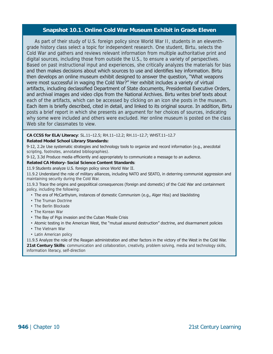#### **Snapshot 10.1. Online Cold War Museum Exhibit in Grade Eleven**

As part of their study of U.S. foreign policy since World War II, students in an eleventhgrade history class select a topic for independent research. One student, Birtu, selects the Cold War and gathers and reviews relevant information from multiple authoritative print and digital sources, including those from outside the U.S., to ensure a variety of perspectives. Based on past instructional input and experiences, she critically analyzes the materials for bias and then makes decisions about which sources to use and identifies key information. Birtu then develops an online museum exhibit designed to answer the question, "What weapons were most successful in waging the Cold War?" Her exhibit includes a variety of virtual artifacts, including declassified Department of State documents, Presidential Executive Orders, and archival images and video clips from the National Archives. Birtu writes brief texts about each of the artifacts, which can be accessed by clicking on an icon she posts in the museum. Each item is briefly described, cited in detail, and linked to its original source. In addition, Birtu posts a brief report in which she presents an argument for her choices of sources, indicating why some were included and others were excluded. Her online museum is posted on the class Web site for classmates to view.

**CA CCSS for ELA/Literacy**: SL.11–12.5; RH.11–12.2; RH.11–12.7; WHST.11–12.7

#### **Related Model School Library Standards:**

9-12, 2.2e Use systematic strategies and technology tools to organize and record information (e.g., anecdotal scripting, footnotes, annotated bibliographies).

9-12, 3.3d Produce media efficiently and appropriately to communicate a message to an audience.

#### **Related CA History–Social Science Content Standards**:

11.9 Students analyze U.S. foreign policy since World War II.

11.9.2 Understand the role of military alliances, including NATO and SEATO, in deterring communist aggression and maintaining security during the Cold War.

11.9.3 Trace the origins and geopolitical consequences (foreign and domestic) of the Cold War and containment policy, including the following:

- The era of McCarthyism, instances of domestic Communism (e.g., Alger Hiss) and blacklisting
- The Truman Doctrine
- The Berlin Blockade
- The Korean War
- The Bay of Pigs invasion and the Cuban Missile Crisis
- Atomic testing in the American West, the "mutual assured destruction" doctrine, and disarmament policies
- The Vietnam War
- Latin American policy

11.9.5 Analyze the role of the Reagan administration and other factors in the victory of the West in the Cold War. **21st Century Skills**: communication and collaboration, creativity, problem solving, media and technology skills, information literacy, self-direction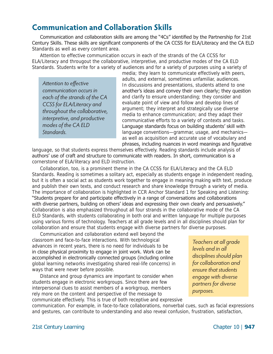## <span id="page-11-0"></span>**Communication and Collaboration Skills**

Communication and collaboration skills are among the "4Cs" identified by the Partnership for 21st Century Skills. These skills are significant components of the CA CCSS for ELA/Literacy and the CA ELD Standards as well as every content area.

Attention to effective communication occurs in each of the strands of the CA CCSS for ELA/Literacy and througout the collaborative, interpretive, and productive modes of the CA ELD Standards. Students write for a variety of audiences and for a variety of purposes using a variety of

*Attention to effective communication occurs in each of the strands of the CA CCSS for ELA/Literacy and throughout the collaborative, interpretive, and productive modes of the CA ELD Standards.* 

media; they learn to communicate effectively with peers, adults, and external, sometimes unfamiliar, audiences. In discussions and presentations, students attend to one another's ideas and convey their own clearly; they question and clarify to ensure understanding; they consider and evaluate point of view and follow and develop lines of argument; they interpret and strategically use diverse media to enhance communication; and they adapt their communicative efforts to a variety of contexts and tasks. Language standards focus on building students' skill with language conventions—grammar, usage, and mechanics as well as acquisition and accurate use of vocabulary and phrases, including nuances in word meanings and figurative

language, so that students express themselves effectively. Reading standards include analysis of authors' use of craft and structure to communicate with readers. In short, communication is a cornerstone of ELA/literacy and ELD instruction.

Collaboration, too, is a prominent theme in the CA CCSS for ELA/Literacy and the CA ELD Standards. Reading is sometimes a solitary act, especially as students engage in independent reading, but it is often a social act as students work together to engage in meaning making with text, produce and publish their own texts, and conduct research and share knowledge through a variety of media. The importance of collaboration is highlighted in CCR Anchor Standard 1 for Speaking and Listening: "Students prepare for and participate effectively in a range of conversations and collaborations with diverse partners, building on others' ideas and expressing their own clearly and persuasively." Collaboration is also emphasized throughout all four strands in the collaborative mode of the CA ELD Standards, with students collaborating in both oral and written language for multiple purposes using various forms of technology. Teachers at all grade levels and i n all disciplines should plan for collaboration and ensure that students engage with diverse partner s for diverse purposes.

Communication and collaboration extend well beyond the classroom and face-to-face interactions. With technological advances in recent years, there is no need for individuals to be in close physical proximity to engage in joint work. Work can be accomplished in electronically connected groups (including online global learning networks investigating shared real-life concerns) in ways that were never before possible.

Distance and group dynamics are important to consider when students engage in electronic workgroups. Since there are few interpersonal clues to assist members of a workgroup, members rely more on the content and perspective of the message to communicate effectively. This is true of both receptive and expressive

*Teachers at all grade levels and in all disciplines should plan for collaboration and ensure that students engage with diverse partners for diverse purposes.* 

communication. For example, in face-to-face collaborations, nonverbal cues, such as facial expressions and gestures, can contribute to understanding and also reveal confusion, frustration, satisfaction,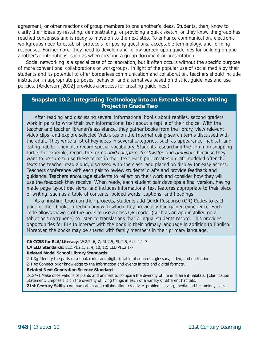agreement, or other reactions of group members to one another's ideas. Students, then, know to clarify their ideas by restating, demonstrating, or providing a quick sketch, or they know the group has reached consensus and is ready to move on to the next step. To enhance communication, electronic workgroups need to establish protocols for posing questions, acceptable terminology, and forming responses. Furthermore, they need to develop and follow agreed-upon guidelines for building on one another's contributions, such as when creating a group document or presentation.

Social networking is a special case of collaboration, but it often occurs without the specific purpose of more conventional collaborations or workgroups. In light of the popular use of social media by their students and its potential to offer borderless communication and collaboration, teachers should include instruction in appropriate purposes, behavior, and alternatives based on district guidelines and use policies. (Anderson [2012] provides a process for creating guidelines.)

#### **Snapshot 10.2. Integrating Technology into an Extended Science Writing Project in Grade Two**

After reading and discussing several informational books about reptiles, second graders work in pairs to write their own informational text about a reptile of their choice. With the teacher and teacher librarian's assistance, they gather books from the library, view relevant video clips, and explore selected Web sites on the Internet using search terms discussed with the adult. They write a list of key ideas in several categories, such as appearance, habitat, and eating habits. They also record special vocabulary. Students researching the common snapping turtle, for example, record the terms *rigid carapace*, *freshwater,* and *omnivore* because they want to be sure to use these terms in their text. Each pair creates a draft modeled after the texts the teacher read aloud, discussed with the class, and placed on display for easy access. Teachers conference with each pair to review students' drafts and provide feedback and guidance. Teachers encourage students to reflect on their work and consider how they will use the feedback they receive. When ready, each student pair develops a final version, having made page layout decisions, and includes informational text features appropriate to their piece of writing, such as a table of contents, bolded words, captions, and headings.

As a finishing touch on their projects, students add Quick Response (QR) Codes to each page of their books, a technology with which they previously had gained experience. Each code allows viewers of the book to use a class QR reader (such as an app installed on a tablet or smartphone) to listen to translations that bilingual students record. This provides opportunities for ELs to interact with the book in their primary language in addition to English. Moreover, the books may be shared with family members in their primary language.

**CA CCSS for ELA/Literacy**: W.2.2, 6, 7; RI.2.5; SL.2.5, 6; L.2.1–3

**CA ELD Standards**: ELD.PI.2.1, 2, 4, 10, 12; ELD.PII.2.1-7

**Related Model School Library Standards:** 

2-1.3g Identify the parts of a book (print and digital): table of contents, glossary, index, and dedication.

2-1.4c Connect prior knowledge to the information and events in text and digital formats.

**Related Next Generation Science Standard**:

2-LS4-1 Make observations of plants and animals to compare the diversity of life in different habitats. [Clarification Statement: Emphasis is on the diversity of living things in each of a variety of different habitats.] **21st Century Skills**: communication and collaboration, creativity, problem solving, media and technology skills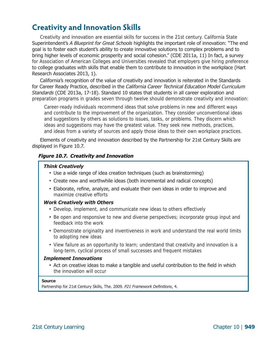# <span id="page-13-0"></span>**Creativity and Innovation Skills**

Creativity and innovation are essential skills for success in the 21st century. California State Superintendent's *A Blueprint for Great Schools* highlights the important role of innovation: "The end goal is to foster each student's ability to create innovative solutions to complex problems and to bring higher levels of economic prosperity and social cohesion." (CDE 2011a, 11) In fact, a survey for Association of American Colleges and Universities revealed that employers give hiring preference to college graduates with skills that enable them to contribute to innovation in the workplace (Hart Research Associates 2013, 1).

California's recognition of the value of creativity and innovation is reiterated in the Standards for Career Ready Practice, described in the *California Career Technical Education Model Curriculum Standards* (CDE 2013a, 17-18). Standard 10 states that students in all career exploration and preparation programs in grades seven through twelve should demonstrate creativity and innovation:

Career-ready individuals recommend ideas that solve problems in new and different ways and contribute to the improvement of the organization. They consider unconventional ideas and suggestions by others as solutions to issues, tasks, or problems. They discern which ideas and suggestions may have the greatest value. They seek new methods, practices, and ideas from a variety of sources and apply those ideas to their own workplace practices.

Elements of creativity and innovation described by the Partnership for 21st Century Skills are displayed in Figure 10.7.

#### *Figure 10.7. Creativity and Innovation*

#### *Think Creatively*

- Use a wide range of idea creation techniques (such as brainstorming)
- Create new and worthwhile ideas (both incremental and radical concepts)
- Elaborate, refine, analyze, and evaluate their own ideas in order to improve and maximize creative efforts

#### *Work Creatively with Others*

- Develop, implement, and communicate new ideas to others effectively
- Be open and responsive to new and diverse perspectives; incorporate group input and feedback into the work
- Demonstrate originality and inventiveness in work and understand the real world limits to adopting new ideas
- View failure as an opportunity to learn; understand that creativity and innovation is a long-term, cyclical process of small successes and frequent mistakes

#### *Implement Innovations*

• Act on creative ideas to make a tangible and useful contribution to the field in which the innovation will occur

#### **Source**

Partnership for 21st Century Skills, The. 2009. *P21 Framework Definitions*, 4.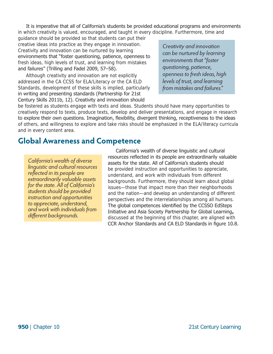It is imperative that all of California's students be provided educational programs and environments in which creativity is valued, encouraged, and taught in every d iscipline. Furthermore, time and

guidance should be provided so that students can put their creative ideas into practice as they engage in innovation. Creativity and innovation can be nurtured by learning environments that "foster questioning, patience, openness to fresh ideas, high levels of trust, and learning from mistakes and failures" (Trilling and Fadel 2009, 57–58).

Although creativity and innovation are not explicitly addressed in the CA CCSS for ELA/Literacy or the CA ELD Standards, development of these skills is implied, particularly in writing and presenting standards (Partnership for 21st Century Skills 2011b, 12). Creativity and innovation should

*Creativity and innovation can be nurtured by learning environments that "foster questioning, patience, openness to fresh ideas, high levels of trust, and learning from mistakes and failures."* 

be fostered as students engage with texts and ideas. Students should have many opportunities to creatively respond to texts, produce texts, develop and deliver presentations, and engage in research to explore their own questions. Imagination, flexibility, divergent thinking, receptiveness to the ideas of others, and willingness to explore and take risks should be emphasized in the ELA/literacy curricula and in every content area.

### <span id="page-14-0"></span>**Global Awareness and Competence**

<sup>r</sup> *California's wealth of diverse linguistic and cultural resources reflected in its people are extraordinarily valuable assets for the state. All of California's students should be provided instruction and opportunities to appreciate, understand, and work with individuals from different backgrounds.* 

California's wealth of diverse linguistic and cultural esources reflected in its people are extraordinarily valuable assets for the state. All of California's students should be provided instruction and opportunities to appreciate, understand, and work with individuals from different backgrounds. Furthermore, they should learn about global ssues—those that impact more than their neighborhoods i and the nation—and develop an understanding of different perspectives and the interrelationships among all humans. he global competences identified by the CCSSO EdSteps T nitiative and Asia Society Partnership for Global Learning**,** I discussed at the beginning of this chapter, are aligned with CR Anchor Standards and CA ELD Standards in figure 10.8. C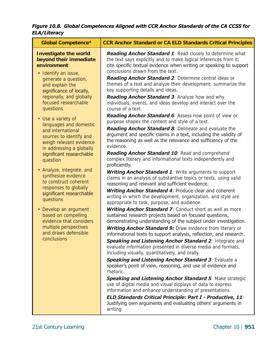*Figure 10.8. Global Competences Aligned with CCR Anchor Standards of the CA CCSS for ELA/Literacy*

| <b>Global Competence*</b>                                                                                                                                                                                                                                                                                                                                                                                                                                                             | <b>CCR Anchor Standard or CA ELD Standards Critical Principles</b>                                                                                                                                                                                                                                                                                                                                                                                                                                                                                                                                                                                                                                                                                                                                                                                                                                                                                                                                                                                                                                                                                                                                                                                                                                                                                                                                                                                                                                                                                                                                                                                                                                                                                                                                                   |
|---------------------------------------------------------------------------------------------------------------------------------------------------------------------------------------------------------------------------------------------------------------------------------------------------------------------------------------------------------------------------------------------------------------------------------------------------------------------------------------|----------------------------------------------------------------------------------------------------------------------------------------------------------------------------------------------------------------------------------------------------------------------------------------------------------------------------------------------------------------------------------------------------------------------------------------------------------------------------------------------------------------------------------------------------------------------------------------------------------------------------------------------------------------------------------------------------------------------------------------------------------------------------------------------------------------------------------------------------------------------------------------------------------------------------------------------------------------------------------------------------------------------------------------------------------------------------------------------------------------------------------------------------------------------------------------------------------------------------------------------------------------------------------------------------------------------------------------------------------------------------------------------------------------------------------------------------------------------------------------------------------------------------------------------------------------------------------------------------------------------------------------------------------------------------------------------------------------------------------------------------------------------------------------------------------------------|
| <b>Investigate the world</b><br>beyond their immediate<br>environment<br>• Identify an issue,<br>generate a question,<br>and explain the<br>significance of locally,<br>regionally, and globally<br>focused researchable<br>questions                                                                                                                                                                                                                                                 | Reading Anchor Standard 1: Read closely to determine what<br>the text says explicitly and to make logical inferences from it;<br>cite specific textual evidence when writing or speaking to support<br>conclusions drawn from the text.<br>Reading Anchor Standard 2: Determine central ideas or<br>themes of a text and analyze their development; summarize the<br>key supporting details and ideas.<br>Reading Anchor Standard 3: Analyze how and why<br>individuals, events, and ideas develop and interact over the<br>course of a text.                                                                                                                                                                                                                                                                                                                                                                                                                                                                                                                                                                                                                                                                                                                                                                                                                                                                                                                                                                                                                                                                                                                                                                                                                                                                        |
| • Use a variety of<br>languages and domestic<br>and international<br>sources to identify and<br>weigh relevant evidence<br>in addressing a globally<br>significant researchable<br>question<br>• Analyze, integrate, and<br>synthesize evidence<br>to construct coherent<br>responses to globally<br>significant researchable<br>questions<br>• Develop an argument<br>based on compelling<br>evidence that considers<br>multiple perspectives<br>and draws defensible<br>conclusions | Reading Anchor Standard 6: Assess how point of view or<br>purpose shapes the content and style of a text.<br>Reading Anchor Standard 8: Delineate and evaluate the<br>argument and specific claims in a text, including the validity of<br>the reasoning as well as the relevance and sufficiency of the<br>evidence.<br>Reading Anchor Standard 10: Read and comprehend<br>complex literary and informational texts independently and<br>proficiently.<br><b>Writing Anchor Standard 1:</b> Write arguments to support<br>claims in an analysis of substantive topics or texts, using valid<br>reasoning and relevant and sufficient evidence.<br><b>Writing Anchor Standard 4: Produce clear and coherent</b><br>writing in which the development, organization, and style are<br>appropriate to task, purpose, and audience.<br>Writing Anchor Standard 7: Conduct short as well as more<br>sustained research projects based on focused questions,<br>demonstrating understanding of the subject under investigation.<br>Writing Anchor Standard 9: Draw evidence from literary or<br>informational texts to support analysis, reflection, and research.<br>Speaking and Listening Anchor Standard 2: Integrate and<br>evaluate information presented in diverse media and formats,<br>including visually, quantitatively, and orally.<br>Speaking and Listening Anchor Standard 3: Evaluate a<br>speaker's point of view, reasoning, and use of evidence and<br>rhetoric.<br><b>Speaking and Listening Anchor Standard 5: Make strategic</b><br>use of digital media and visual displays of data to express<br>information and enhance understanding of presentations.<br>ELD Standards Critical Principle: Part I - Productive, 11:<br>Justifying own arguments and evaluating others' arguments in<br>writing |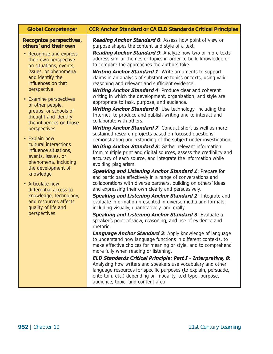| <b>Global Competence*</b>                                                                                                                                                                                                                                                                                                                                                                                                                                                                                                         | <b>CCR Anchor Standard or CA ELD Standards Critical Principles</b>                                                                                                                                                                                                                                                                                                                                                                                                                                                                                                                                                                                                                                                                                                                                                                                                                                                                                                                                                                                                                                                                                                                                                                                                                                                                                                                                                                                                |
|-----------------------------------------------------------------------------------------------------------------------------------------------------------------------------------------------------------------------------------------------------------------------------------------------------------------------------------------------------------------------------------------------------------------------------------------------------------------------------------------------------------------------------------|-------------------------------------------------------------------------------------------------------------------------------------------------------------------------------------------------------------------------------------------------------------------------------------------------------------------------------------------------------------------------------------------------------------------------------------------------------------------------------------------------------------------------------------------------------------------------------------------------------------------------------------------------------------------------------------------------------------------------------------------------------------------------------------------------------------------------------------------------------------------------------------------------------------------------------------------------------------------------------------------------------------------------------------------------------------------------------------------------------------------------------------------------------------------------------------------------------------------------------------------------------------------------------------------------------------------------------------------------------------------------------------------------------------------------------------------------------------------|
| Recognize perspectives,<br>others' and their own<br>• Recognize and express<br>their own perspective<br>on situations, events,<br>issues, or phenomena<br>and identify the<br>influences on that<br>perspective<br>• Examine perspectives<br>of other people,<br>groups, or schools of<br>thought and identify<br>the influences on those<br>perspectives<br>• Explain how<br>cultural interactions<br>influence situations,<br>events, issues, or<br>phenomena, including<br>the development of<br>knowledge<br>• Articulate how | <b>Reading Anchor Standard 6: Assess how point of view or</b><br>purpose shapes the content and style of a text.<br><b>Reading Anchor Standard 9:</b> Analyze how two or more texts<br>address similar themes or topics in order to build knowledge or<br>to compare the approaches the authors take.<br>Writing Anchor Standard 1: Write arguments to support<br>claims in an analysis of substantive topics or texts, using valid<br>reasoning and relevant and sufficient evidence.<br><b>Writing Anchor Standard 4: Produce clear and coherent</b><br>writing in which the development, organization, and style are<br>appropriate to task, purpose, and audience.<br>Writing Anchor Standard 6: Use technology, including the<br>Internet, to produce and publish writing and to interact and<br>collaborate with others.<br><b>Writing Anchor Standard 7:</b> Conduct short as well as more<br>sustained research projects based on focused questions,<br>demonstrating understanding of the subject under investigation.<br><b>Writing Anchor Standard 8: Gather relevant information</b><br>from multiple print and digital sources, assess the credibility and<br>accuracy of each source, and integrate the information while<br>avoiding plagiarism.<br><b>Speaking and Listening Anchor Standard 1: Prepare for</b><br>and participate effectively in a range of conversations and<br>collaborations with diverse partners, building on others' ideas |
| differential access to<br>knowledge, technology,<br>and resources affects<br>quality of life and<br>perspectives                                                                                                                                                                                                                                                                                                                                                                                                                  | and expressing their own clearly and persuasively.<br>Speaking and Listening Anchor Standard 2: Integrate and<br>evaluate information presented in diverse media and formats,<br>including visually, quantitatively, and orally.<br>Speaking and Listening Anchor Standard 3: Evaluate a<br>speaker's point of view, reasoning, and use of evidence and<br>rhetoric.<br>Language Anchor Standard 3: Apply knowledge of language<br>to understand how language functions in different contexts, to<br>make effective choices for meaning or style, and to comprehend<br>more fully when reading or listening.<br><b>ELD Standards Critical Principle: Part I - Interpretive, 8:</b><br>Analyzing how writers and speakers use vocabulary and other<br>language resources for specific purposes (to explain, persuade,<br>entertain, etc.) depending on modality, text type, purpose,                                                                                                                                                                                                                                                                                                                                                                                                                                                                                                                                                                               |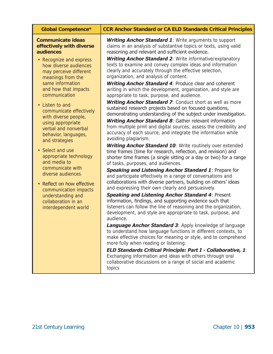| <b>Global Competence*</b>                                                                                                                                                                                                                                                                                                                                                                                                                                                                                                                                                                                                        | <b>CCR Anchor Standard or CA ELD Standards Critical Principles</b>                                                                                                                                                                                                                                                                                                                                                                                                                                                                                                                                                                                                                                                                                                                                                                                                                                                                                                                                                                                                                                                                                                                                                                                                                                                                                                                                                                                                                                                                                                                                                                                                                                                                                                                                                                                                                                                                                                                                                                                                                                                                                                                                                                                                         |
|----------------------------------------------------------------------------------------------------------------------------------------------------------------------------------------------------------------------------------------------------------------------------------------------------------------------------------------------------------------------------------------------------------------------------------------------------------------------------------------------------------------------------------------------------------------------------------------------------------------------------------|----------------------------------------------------------------------------------------------------------------------------------------------------------------------------------------------------------------------------------------------------------------------------------------------------------------------------------------------------------------------------------------------------------------------------------------------------------------------------------------------------------------------------------------------------------------------------------------------------------------------------------------------------------------------------------------------------------------------------------------------------------------------------------------------------------------------------------------------------------------------------------------------------------------------------------------------------------------------------------------------------------------------------------------------------------------------------------------------------------------------------------------------------------------------------------------------------------------------------------------------------------------------------------------------------------------------------------------------------------------------------------------------------------------------------------------------------------------------------------------------------------------------------------------------------------------------------------------------------------------------------------------------------------------------------------------------------------------------------------------------------------------------------------------------------------------------------------------------------------------------------------------------------------------------------------------------------------------------------------------------------------------------------------------------------------------------------------------------------------------------------------------------------------------------------------------------------------------------------------------------------------------------------|
| <b>Communicate ideas</b><br>effectively with diverse<br>audiences<br>• Recognize and express<br>how diverse audiences<br>may perceive different<br>meanings from the<br>same information<br>and how that impacts<br>communication<br>• Listen to and<br>communicate effectively<br>with diverse people,<br>using appropriate<br>verbal and nonverbal<br>behavior, languages,<br>and strategies<br>• Select and use<br>appropriate technology<br>and media to<br>communicate with<br>diverse audiences<br>• Reflect on how effective<br>communication impacts<br>understanding and<br>collaboration in an<br>interdependent world | <b>Writing Anchor Standard 1:</b> Write arguments to support<br>claims in an analysis of substantive topics or texts, using valid<br>reasoning and relevant and sufficient evidence.<br><b>Writing Anchor Standard 2: Write informative/explanatory</b><br>texts to examine and convey complex ideas and information<br>clearly and accurately through the effective selection,<br>organization, and analysis of content.<br><b>Writing Anchor Standard 4: Produce clear and coherent</b><br>writing in which the development, organization, and style are<br>appropriate to task, purpose, and audience.<br><b>Writing Anchor Standard 7:</b> Conduct short as well as more<br>sustained research projects based on focused questions,<br>demonstrating understanding of the subject under investigation.<br><b>Writing Anchor Standard 8:</b> Gather relevant information<br>from multiple print and digital sources, assess the credibility and<br>accuracy of each source, and integrate the information while<br>avoiding plagiarism.<br>Writing Anchor Standard 10: Write routinely over extended<br>time frames (time for research, reflection, and revision) and<br>shorter time frames (a single sitting or a day or two) for a range<br>of tasks, purposes, and audiences.<br><b>Speaking and Listening Anchor Standard 1: Prepare for</b><br>and participate effectively in a range of conversations and<br>collaborations with diverse partners, building on others' ideas<br>and expressing their own clearly and persuasively.<br><b>Speaking and Listening Anchor Standard 4: Present</b><br>information, findings, and supporting evidence such that<br>listeners can follow the line of reasoning and the organization,<br>development, and style are appropriate to task, purpose, and<br>audience.<br>Language Anchor Standard 3: Apply knowledge of language<br>to understand how language functions in different contexts, to<br>make effective choices for meaning or style, and to comprehend<br>more fully when reading or listening.<br><b>ELD Standards Critical Principle: Part I - Collaborative, 1:</b><br>Exchanging information and ideas with others through oral<br>collaborative discussions on a range of social and academic<br>topics |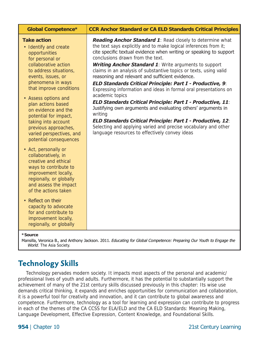| <b>Global Competence*</b>                                                                                                                                                                                                                                                                                                                                                                                                                                                                                                                                                                                                                                                                                                                | <b>CCR Anchor Standard or CA ELD Standards Critical Principles</b>                                                                                                                                                                                                                                                                                                                                                                                                                                                                                                                                                                                                                                                                                                                                                                                                                                             |
|------------------------------------------------------------------------------------------------------------------------------------------------------------------------------------------------------------------------------------------------------------------------------------------------------------------------------------------------------------------------------------------------------------------------------------------------------------------------------------------------------------------------------------------------------------------------------------------------------------------------------------------------------------------------------------------------------------------------------------------|----------------------------------------------------------------------------------------------------------------------------------------------------------------------------------------------------------------------------------------------------------------------------------------------------------------------------------------------------------------------------------------------------------------------------------------------------------------------------------------------------------------------------------------------------------------------------------------------------------------------------------------------------------------------------------------------------------------------------------------------------------------------------------------------------------------------------------------------------------------------------------------------------------------|
| <b>Take action</b><br>• Identify and create<br>opportunities<br>for personal or<br>collaborative action<br>to address situations,<br>events, issues, or<br>phenomena in ways<br>that improve conditions<br>• Assess options and<br>plan actions based<br>on evidence and the<br>potential for impact,<br>taking into account<br>previous approaches,<br>varied perspectives, and<br>potential consequences<br>• Act, personally or<br>collaboratively, in<br>creative and ethical<br>ways to contribute to<br>improvement locally,<br>regionally, or globally<br>and assess the impact<br>of the actions taken<br>• Reflect on their<br>capacity to advocate<br>for and contribute to<br>improvement locally,<br>regionally, or globally | Reading Anchor Standard 1: Read closely to determine what<br>the text says explicitly and to make logical inferences from it;<br>cite specific textual evidence when writing or speaking to support<br>conclusions drawn from the text.<br>Writing Anchor Standard 1: Write arguments to support<br>claims in an analysis of substantive topics or texts, using valid<br>reasoning and relevant and sufficient evidence.<br><b>ELD Standards Critical Principle: Part I - Productive, 9:</b><br>Expressing information and ideas in formal oral presentations on<br>academic topics<br>ELD Standards Critical Principle: Part I - Productive, 11:<br>Justifying own arguments and evaluating others' arguments in<br>writing<br>ELD Standards Critical Principle: Part I - Productive, 12:<br>Selecting and applying varied and precise vocabulary and other<br>language resources to effectively convey ideas |
| *Source<br>$M = 112$ $M = 222$                                                                                                                                                                                                                                                                                                                                                                                                                                                                                                                                                                                                                                                                                                           | $2011 - 54 \cdot 15 = 15$<br>$C1$ $L2$ $C2$ $\ldots$ $\ldots$ $\ldots$                                                                                                                                                                                                                                                                                                                                                                                                                                                                                                                                                                                                                                                                                                                                                                                                                                         |

Mansilla, Veronica B., and Anthony Jackson. 2011. *Educating for Global Competence: Preparing Our Youth to Engage the World*. The Asia Society.

# <span id="page-18-0"></span>**Technology Skills**

Technology pervades modern society. It impacts most aspects of the personal and academic/ professional lives of youth and adults. Furthermore, it has the potential to substantially support the achievement of many of the 21st century skills discussed previously in this chapter: Its wise use demands critical thinking, it expands and enriches opportunities for communication and collaboration, it is a powerful tool for creativity and innovation, and it can contribute to global awareness and competence. Furthermore, technology as a tool for learning and expression can contribute to progress in each of the themes of the CA CCSS for ELA/ELD and the CA ELD Standards: Meaning Making, Language Development, Effective Expression, Content Knowledge, and Foundational Skills.

**954** | Chapter 10

 21st Century Learning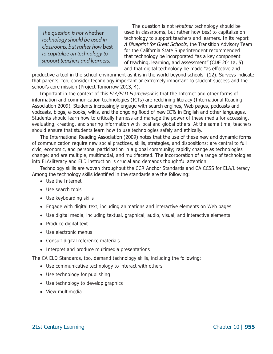*The question is not* whether *technology should be used in classrooms, but rather how* best *to capitalize on technology to support teachers and learners.* 

The question is not *whether* technology should be used in classrooms, but rather how *best* to capitalize on technology to support teachers and learners. In its report *A Blueprint for Great Schools*, the Transition Advisory Team for the California State Superintendent recommended that technology be incorporated "as a key component of teaching, learning, and assessment" (CDE 2011a, 5) and that digital technology be made "as effective and

productive a tool in the school environment as it is in the world beyond schools" (12). Surveys indicate that parents, too, consider technology important or extremely important to student success and the school's core mission (Project Tomorrow 2013, 4).

Important in the context of this *ELA/ELD Framework* is that the Internet and other forms of information and communication technologies (ICTs) are redefining literacy (International Reading Association 2009). Students increasingly engage with search engines, Web pages, podcasts and vodcasts, blogs, e-books, wikis, and the ongoing flood of new ICTs in English and other languages. Students should learn how to critically harness and manage the power of these media for accessing, evaluating, creating, and sharing information with local and global others. At the same time, teachers should ensure that students learn how to use technologies safely and ethically.

The International Reading Association (2009) notes that the use of these new and dynamic forms of communication require new social practices, skills, strategies, and dispositions; are central to full civic, economic, and personal participation in a global community; rapidly change as technologies change; and are multiple, multimodal, and multifaceted. The incorporation of a range of technologies into ELA/literacy and ELD instruction is crucial and demands thoughtful attention.

Technology skills are woven throughout the CCR Anchor Standards and CA CCSS for ELA/Literacy. Among the technology skills identified in the standards are the following:

- Use the Internet
- Use search tools
- Use keyboarding skills
- Engage with digital text, including animations and interactive elements on Web pages
- Use digital media, including textual, graphical, audio, visual, and interactive elements
- Produce digital text
- Use electronic menus
- Consult digital reference materials
- Interpret and produce multimedia presentations

The CA ELD Standards, too, demand technology skills, including the following:

- Use communicative technology to interact with others
- Use technology for publishing
- Use technology to develop graphics
- View multimedia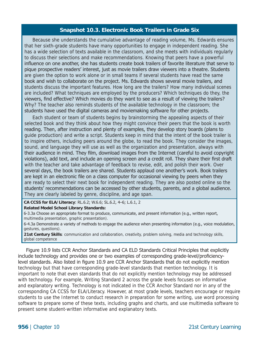#### **Snapshot 10.3. Electronic Book Trailers in Grade Six**

Because she understands the cumulative advantage of reading volume, Ms. Edwards ensures that her sixth-grade students have many opportunities to engage in independent reading. She has a wide selection of texts available in the classroom, and she meets with individuals regularly to discuss their selections and make recommendations. Knowing that peers have a powerful influence on one another, she has students create book trailers of favorite literature that serve to pique prospective readers' interest, just as movie trailers draw viewers into a theatre. Students are given the option to work alone or in small teams if several students have read the same book and wish to collaborate on the project. Ms. Edwards shows several movie trailers, and students discuss the important features. How long are the trailers? How many individual scenes are included? What techniques are employed by the producers? Which techniques do they, the viewers, find effective? Which movies do they want to see as a result of viewing the trailers? Why? The teacher also reminds students of the available technology in the classroom; the students have used the digital cameras and moviemaking software for other projects.

Each student or team of students begins by brainstorming the appealing aspects of their selected book and they think about how they might convince their peers that the book is worth reading. Then, after instruction and plenty of examples, they develop story boards (plans to guide production) and write a script. Students keep in mind that the intent of the book trailer is to inspire others, including peers around the globe, to read the book. They consider the images, sound, and language they will use as well as the organization and presentation, always with their audience in mind. They film, download images from the Internet (careful to avoid copyright violations), add text, and include an opening screen and a credit roll. They share their first draft with the teacher and take advantage of feedback to revise, edit, and polish their work. Over several days, the book trailers are shared. Students applaud one another's work. Book trailers are kept in an electronic file on a class computer for occasional viewing by peers when they are ready to select their next book for independent reading. They are also posted online so the students' recommendations can be accessed by other students, parents, and a global audience. They are clearly labeled by genre, discipline, and age span.

**CA CCSS for ELA/Literacy**: RL.6.2; W.6.6; SL.6.2, 4–6; L.6.1, 2

**Related Model School Library Standards:** 

6-3.3a Choose an appropriate format to produce, communicate, and present information (e.g., written report, multimedia presentation, graphic presentation).

6-4.3a Demonstrate a variety of methods to engage the audience when presenting information (e.g., voice modulation, gestures, questions).

**21st Century Skills**: communication and collaboration, creativity, problem solving, media and technology skills, global competence

Figure 10.9 lists CCR Anchor Standards and CA ELD Standards Critical Principles that explicitly include technology and provides one or two examples of corresponding grade-level/proficiencylevel standards. Also listed in figure 10.9 are CCR Anchor Standards that do not explicitly mention technology but that have corresponding grade-level standards that mention technology. It is important to note that even standards that do not explicitly mention technology may be addressed with technology. For example, Writing Standard 2 across the grade levels focuses on informative and explanatory writing. Technology is not indicated in the CCR Anchor Standard nor in any of the corresponding CA CCSS for ELA/Literacy. However, at most grade levels, teachers encourage or require students to use the Internet to conduct research in preparation for some writing, use word processing software to prepare some of these texts, including graphs and charts, and use multimedia software to present some student-written informative and explanatory texts.

**956** | Chapter 10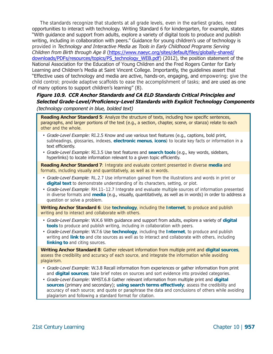The standards recognize that students at all grade levels, even in the earliest grades, need opportunities to interact with technology. Writing Standard 6 for kindergarten, for example, states "With guidance and support from adults, explore a variety of digital tools to produce and publish writing, including in collaboration with peers." Guidance for young children's use of technology is provided in *Technology and Interactive Media as Tools in Early Childhood Programs Serving Children from Birth through Age 8* ([https://www.naeyc.org/sites/default/files/globally-shared/](https://www.naeyc.org/sites/default/files/globally-shared/downloads/PDFs/resources/topics/PS_technology_WEB.pdf) [downloads/PDFs/resources/topics/PS\\_technology\\_WEB.pdf](https://www.naeyc.org/sites/default/files/globally-shared/downloads/PDFs/resources/topics/PS_technology_WEB.pdf)) (2012), the position statement of the National Association for the Education of Young Children and the Fred Rogers Center for Early Learning and Children's Media at Saint Vincent College. Importantly, the guidelines assert that "Effective uses of technology and media are active, hands-on, engaging, and empowering; give the child control; provide adaptive scaffolds to ease the accomplishment of tasks; and are used as one of many options to support children's learning" (8).

#### *Figure 10.9. CCR Anchor Standards and CA ELD Standards Critical Principles and Selected Grade-Level/Proficiency-Level Standards with Explicit Technology Components (technology component in blue, bolded text)*

**Reading Anchor Standard 5**: Analyze the structure of texts, including how specific sentences, paragraphs, and larger portions of the text (e.g., a section, chapter, scene, or stanza) relate to each other and the whole.

- *Grade-Level Example*: RI.2.5 Know and use various text features (e.g., captions, bold print, subheadings, glossaries, indexes, **electronic menus**, **icons**) to locate key facts or information in a text efficiently.
- *Grade-Level Example*: RI.3.5 Use text features and **search tools** (e.g., key words, sidebars, hyperlinks) to locate information relevant to a given topic efficiently.

**Reading Anchor Standard 7**: Integrate and evaluate content presented in diverse **media** and formats, including visually and quantitatively, as well as in words.

- *Grade-Level Example*: RL.2.7 Use information gained from the illustrations and words in print or **digital text** to demonstrate understanding of its characters, setting, or plot.
- *Grade-Level Example*: RH.11–12.7 Integrate and evaluate multiple sources of information presented in diverse formats and **media** (e.g., visually, quantitatively, as well as in words) in order to address a question or solve a problem.

**Writing Anchor Standard 6**: Use **technology**, including the **Internet**, to produce and publish writing and to interact and collaborate with others.

- *Grade-Level Example*: W.K.6 With guidance and support from adults, explore a variety of **digital tools** to produce and publish writing, including in collaboration with peers.
- *Grade-Level Example*: W.7.6 Use **technology**, including the **Internet**, to produce and publish writing and **link to** and cite sources as well as to interact and collaborate with others, including **linking to** and citing sources.

**Writing Anchor Standard 8**: Gather relevant information from multiple print and **digital sources**, assess the credibility and accuracy of each source, and integrate the information while avoiding plagiarism.

- *Grade-Level Example*: W.3.8 Recall information from experiences or gather information from print and **digital sources**; take brief notes on sources and sort evidence into provided categories.
- *Grade-Level Example*: WHST.6.8 Gather relevant information from multiple print and **digital sources** (primary and secondary); **using search terms effectively**; assess the credibility and accuracy of each source; and quote or paraphrase the data and conclusions of others while avoiding plagiarism and following a standard format for citation.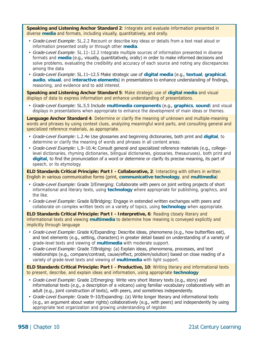**Speaking and Listening Anchor Standard 2**: Integrate and evaluate information presented in diverse **media** and formats, including visually, quantitatively, and orally.

- *Grade-Level Example*: SL.2.2 Recount or describe key ideas or details from a text read aloud or information presented orally or through other **media**.
- *Grade-Level Example*: SL.11–12.2 Integrate multiple sources of information presented in diverse formats and **media** (e.g., visually, quantitatively, orally) in order to make informed decisions and solve problems, evaluating the credibility and accuracy of each source and noting any discrepancies among the data
- *Grade-Level Example*: SL.11–12.5 Make strategic use of **digital media** (e.g., **textual**, **graphical**, **audio**, **visual**, and **interactive elements**) in presentations to enhance understanding of findings, reasoning, and evidence and to add interest.

**Speaking and Listening Anchor Standard 5**: Make strategic use of **digital media** and visual displays of data to express information and enhance understanding of presentations.

• *Grade-Level Example*: SL.5.5 Include **multimedia components** (e.g., **graphics**, **sound**) and visual displays in presentations when appropriate to enhance the development of main ideas or themes.

**Language Anchor Standard 4**: Determine or clarify the meaning of unknown and multiple-meaning words and phrases by using context clues, analyzing meaningful word parts, and consulting general and specialized reference materials, as appropriate.

- *Grade-Level Example*: L.2.4e Use glossaries and beginning dictionaries, both print and **digital**, to determine or clarify the meaning of words and phrases in all content areas.
- *Grade-Level Example*: L.9–10.4c Consult general and specialized reference materials (e.g., collegelevel dictionaries, rhyming dictionaries, bilingual dictionaries, glossaries, thesauruses), both print and **digital**, to find the pronunciation of a word or determine or clarify its precise meaning, its part of speech, or its etymology.

**ELD Standards Critical Principle: Part I - Collaborative, 2**: Interacting with others in written English in various communicative forms (print, **communicative technology**, and **multimedia**)

- *Grade-Level Example*: Grade 3/Emerging: Collaborate with peers on joint writing projects of short informational and literary texts, using **technology** where appropriate for publishing, graphics, and the like.
- *Grade-Level Example*: Grade 8/Bridging: Engage in extended written exchanges with peers and collaborate on complex written texts on a variety of topics, using **technology** when appropriate.

**ELD Standards Critical Principle: Part I - Interpretive, 6**: Reading closely literary and informational texts and viewing **multimedia** to determine how meaning is conveyed explicitly and implicitly through language

- *Grade-Level Example*: Grade K/Expanding: Describe ideas, phenomena (e.g., how butterflies eat), and text elements (e.g., setting, characters) in greater detail based on understanding of a variety of grade-level texts and viewing of **multimedia** with moderate support.
- *Grade-Level Example*: Grade 7/Bridging: (a) Explain ideas, phenomena, processes, and text relationships (e.g., compare/contrast, cause/effect, problem/solution) based on close reading of a variety of grade-level texts and viewing of **multimedia** with light support.

**ELD Standards Critical Principle: Part I - Productive, 10**: Writing literary and informational texts to present, describe, and explain ideas and information, using appropriate **technology** 

- *Grade-Level Example*: Grade 2/Emerging: Write very short literary texts (e.g., story) and informational texts (e.g., a description of a volcano) using familiar vocabulary collaboratively with an adult (e.g., joint construction of texts), with peers, and sometimes independently.
- *Grade-Level Example*: Grade 9–10/Expanding: (a) Write longer literary and informational texts (e.g., an argument about water rights) collaboratively (e.g., with peers) and independently by using appropriate text organization and growing understanding of register.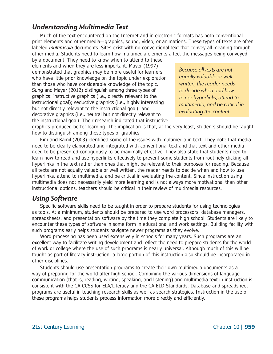### <span id="page-23-0"></span>*Understanding Multimedia Text*

Much of the text encountered on the Internet and in electronic formats has both conventional print elements and other media—graphics, sound, video, or animations. These types of texts are often labeled *multimedia* documents. Sites exist with no conventional text that convey all meaning through other media. Students need to learn how multimedia elements aff ect the messages being conveyed

by a document. They need to know when to attend to these elements and when they are less important. Mayer (1997) demonstrated that graphics may be more useful for learners who have little prior knowledge on the topic under exploration than those who have considerable knowledge of the topic. Sung and Mayer (2012) distinguish among three types of graphics: instructive graphics (i.e., directly relevant to the instructional goal); seductive graphics (i.e., highly interesting but not directly relevant to the instructional goal); and decorative graphics (i.e., neutral but not directly relevant to the instructional goal). Their research indicated that instructive

*Because all texts are not equally valuable or well written, the reader needs to decide when and how to use hyperlinks, attend to multimedia, and be critical in evaluating the content.* 

graphics produced better learning. The implication is that, at the very least, students should be taught how to distinguish among these types of graphics.

Kim and Kamil (2003) identified some of the issues with multimedia in text. They note that media need to be clearly elaborated and integrated with conventional text and that text and other media need to be presented contiguously to be maximally effective. They also state that students need to learn how to read and use hyperlinks effectively to prevent some students from routinely clicking all hyperlinks in the text rather than ones that might be relevant to their purposes for reading. Because all texts are not equally valuable or well written, the reader needs to decide when and how to use hyperlinks, attend to multimedia, and be critical in evaluating the content. Since instruction using multimedia does not necessarily yield more learning and is not always more motivational than other instructional options, teachers should be critical in their review of multimedia resources.

### <span id="page-23-1"></span>*Using Software*

Specific software skills need to be taught in order to prepare students for using technologies as tools. At a minimum, students should be prepared to use word processors, database managers, spreadsheets, and presentation software by the time they complete high school. Students are likely to encounter these types of software in some form in educational and work settings. Building facility with such programs early helps students navigate newer programs as they evolve.

Word processing has been used extensively in schools for many years. Such programs are an excellent way to facilitate writing development and reflect the need to prepare students for the world of work or college where the use of such programs is nearly universal. Although much of this will be taught as part of literacy instruction, a large portion of this instruction also should be incorporated in other disciplines.

Students should use presentation programs to create their own multimedia documents as a way of preparing for the world after high school. Combining the various dimensions of language communication (that is, reading, writing, speaking, and listening) and multimedia text in instruction is consistent with the CA CCSS for ELA/Literacy and the CA ELD Standards. Database and spreadsheet programs are useful in teaching research skills as well as search strategies. Instruction in the use of these programs helps students process information more directly and efficiently.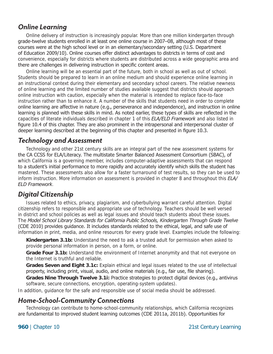### <span id="page-24-0"></span>*Online Learning*

Online delivery of instruction is increasingly popular. More than one million kindergarten through grade-twelve students enrolled in at least one online course in 2007–08, although most of these courses were at the high school level or in an elementary/secondary setting (U.S. Department of Education 2009/10). Online courses offer distinct advantages to districts in terms of cost and convenience, especially for districts where students are distributed across a wide geographic area and there are challenges in delivering instruction in specific content areas.

Online learning will be an essential part of the future, both in school as well as out of school. Students should be prepared to learn in an online medium and should experience online learning in an instructional context during their elementary and secondary school careers. The relative newness of online learning and the limited number of studies available suggest that districts should approach online instruction with caution, especially when the material is intended to replace face-to-face instruction rather than to enhance it. A number of the skills that students need in order to complete online learning are affective in nature (e.g., perseverance and independence), and instruction in online learning is planned with these skills in mind. As noted earlier, these types of skills are reflected in the capacities of literate individuals described in chapter 1 of this *ELA/ELD Framework* and also listed in figure 10.4 of this chapter. They are also prominent in the intrapersonal and interpersonal cluster of deeper learning described at the beginning of this chapter and presented in figure 10.3.

### <span id="page-24-1"></span>*Technology and Assessment*

Technology and other 21st century skills are an integral part of the new assessment systems for the CA CCSS for ELA/Literacy. The multistate Smarter Balanced Assessment Consortium (SBAC), of which California is a governing member, includes computer-adaptive assessments that can respond to a student's initial performance to more rapidly and accurately identify which skills the student has mastered. These assessments also allow for a faster turnaround of test results, so they can be used to inform instruction. More information on assessment is provided in chapter 8 and throughout this *ELA/ ELD Framework*.

## <span id="page-24-2"></span>*Digital Citizenship*

Issues related to ethics, privacy, plagiarism, and cyberbullying warrant careful attention. Digital citizenship refers to responsible and appropriate use of technology. Teachers should be well versed in district and school policies as well as legal issues and should teach students about these issues. The *Model School Library Standards for California Public Schools, Kindergarten Through Grade Twelve*  (CDE 2010) provides guidance. It includes standards related to the ethical, legal, and safe use of information in print, media, and online resources for every grade level. Examples include the following:

**Kindergarten 3.1b:** Understand the need to ask a trusted adult for permission when asked to provide personal information in person, on a form, or online.

**Grade Four 3.1b:** Understand the environment of Internet anonymity and that not everyone on the Internet is truthful and reliable.

**Grades Seven and Eight 3.1c:** Explain ethical and legal issues related to the use of intellectual property, including print, visual, audio, and online materials (e.g., fair use, file sharing).

**Grades Nine Through Twelve 3.1i:** Practice strategies to protect digital devices (e.g., antivirus software, secure connections, encryption, operating-system updates).

In addition, guidance for the safe and responsible use of social media should be addressed.

### <span id="page-24-3"></span>*Home-School-Community Connections*

Technology can contribute to home-school-community relationships, which California recognizes are fundamental to improved student learning outcomes (CDE 2011a, 2011b). Opportunities for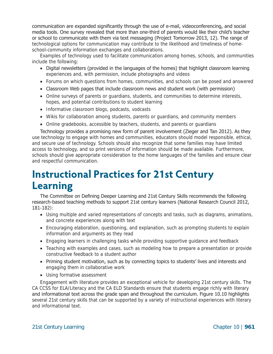communication are expanded significantly through the use of e-mail, videoconferencing, and social media tools. One survey revealed that more than one-third of parents would like their child's teacher or school to communicate with them via text messaging (Project Tomorrow 2013, 12). The range of technological options for communication may contribute to the likelihood and timeliness of homeschool-community information exchanges and collaborations.

Examples of technology used to facilitate communication among homes, schools, and communities include the following:

- • Digital newsletters (provided in the languages of the homes) that highlight classroom learning experiences and, with permission, include photographs and videos
- Forums on which questions from homes, communities, and schools can be posed and answered
- • Classroom Web pages that include classroom news and student work (with permission)
- Online surveys of parents or quardians, students, and communities to determine interests, hopes, and potential contributions to student learning
- Informative classroom blogs, podcasts, vodcasts
- Wikis for collaboration among students, parents or quardians, and community members
- Online gradebooks, accessible by teachers, students, and parents or guardians

Technology provides a promising new form of parent involvement (Zieger and Tan 2012). As they use technology to engage with homes and communities, educators should model responsible, ethical, and secure use of technology. Schools should also recognize that some families may have limited access to technology, and so print versions of information should be made available. Furthermore, schools should give appropriate consideration to the home languages of the families and ensure clear and respectful communication.

# <span id="page-25-0"></span>**Instructional Practices for 21st Century Learning**

The Committee on Defining Deeper Learning and 21st Century Skills recommends the following research-based teaching methods to support 21st century learners (National Research Council 2012, 181-182):

- Using multiple and varied representations of concepts and tasks, such as diagrams, animations, and concrete experiences along with text
- Encouraging elaboration, questioning, and explanation, such as prompting students to explain information and arguments as they read
- Engaging learners in challenging tasks while providing supportive guidance and feedback
- Teaching with examples and cases, such as modeling how to prepare a presentation or provide constructive feedback to a student author
- Priming student motivation, such as by connecting topics to students' lives and interests and engaging them in collaborative work
- Using formative assessment

Engagement with literature provides an exceptional vehicle for developing 21st century skills. The CA CCSS for ELA/Literacy and the CA ELD Standards ensure that students engage richly with literary and informational text across the grade span and throughout the curriculum. Figure 10.10 highlights several 21st century skills that can be supported by a variety of instructional experiences with literary and informational text.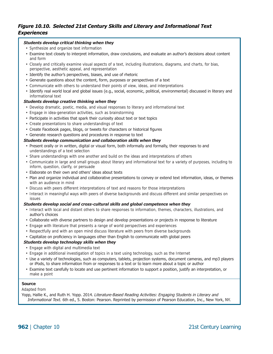#### *Figure 10.10. Selected 21st Century Skills and Literary and Informational Text Experiences*

#### *Students develop critical thinking when they*

- Synthesize and organize text information
- Examine text closely to interpret information, draw conclusions, and evaluate an author's decisions about content and form
- Closely and critically examine visual aspects of a text, including illustrations, diagrams, and charts, for bias, perspective, aesthetic appeal, and representation
- Identify the author's perspectives, biases, and use of rhetoric
- Generate questions about the content, form, purposes or perspectives of a text
- Communicate with others to understand their points of view, ideas, and interpretations
- Identify real world local and global issues (e.g., social, economic, political, environmental) discussed in literary and informational text

#### *Students develop creative thinking when they*

- Develop dramatic, poetic, media, and visual responses to literary and informational text
- Engage in idea-generation activities, such as brainstorming
- Participate in activities that spark their curiosity about text or text topics
- Create presentations to share understandings of text
- Create Facebook pages, blogs, or tweets for characters or historical figures
- Generate research questions and procedures in response to text

#### *Students develop communication and collaboration skills when they*

- Present orally or in written, digital or visual form, both informally and formally, their responses to and understandings of a text selection
- Share understandings with one another and build on the ideas and interpretations of others
- Communicate in large and small groups about literary and informational text for a variety of purposes, including to inform, question, clarify, or persuade
- Elaborate on their own and others' ideas about texts
- Plan and organize individual and collaborative presentations to convey or extend text information, ideas, or themes with an audience in mind
- Discuss with peers different interpretations of text and reasons for those interpretations
- Interact in meaningful ways with peers of diverse backgrounds and discuss different and similar perspectives on issues

#### *Students develop social and cross-cultural skills and global competence when they*

- Interact with local and distant others to share responses to information, themes, characters, illustrations, and author's choices
- Collaborate with diverse partners to design and develop presentations or projects in response to literature
- Engage with literature that presents a range of world perspectives and experiences
- Respectfully and with an open mind discuss literature with peers from diverse backgrounds
- Capitalize on proficiency in languages other than English to communicate with global peers

#### *Students develop technology skills when they*

- Engage with digital and multimedia text
- Engage in additional investigation of topics in a text using technology, such as the Internet
- Use a variety of technologies, such as computers, tablets, projection systems, document cameras, and mp3 players or iPods, to share information from or responses to a text or to learn more about a topic or author
- Examine text carefully to locate and use pertinent information to support a position, justify an interpretation, or make a point

#### **Source**

Adapted from

Yopp, Hallie K., and Ruth H. Yopp. 2014. *Literature-Based Reading Activities: Engaging Students in Literary and Informational Text.* 6th ed., 5. Boston: Pearson. Reprinted by permission of Pearson Education, Inc., New York, NY.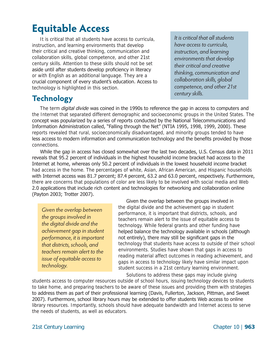# <span id="page-27-0"></span>**Equitable Access**

It is critical that all students have access to curricula, instruction, and learning environments that develop their critical and creative thinking, communication and collaboration skills, global competence, and other 21st century skills. Attention to these skills should not be set aside until after students develop proficiency in literacy or with English as an additional language. They are a crucial component of every student's education. Access to technology is highlighted in this section. 

# <span id="page-27-1"></span>*century skills.* **Technology**

The term *digital divide* was coined in the 1990s to reference the gap in access to computers and the Internet that separated different demographic and socioeconomic groups in the United States. The concept was popularized by a series of reports conducted by the National Telecommunications and Information Administration called, "Falling through the Net" (NTIA 1995, 1998, 1999, 2000). These reports revealed that rural, socioeconomically disadvantaged, and minority groups tended to have less access to modern information and communication technology and the benefits provided by those connections.

While the gap in access has closed somewhat over the last two decades, U.S. Census data in 2011 reveals that 95.2 percent of individuals in the highest household income bracket had access to the Internet at home, whereas only 50.2 percent of individuals in the lowest household income bracket had access in the home. The percentages of white, Asian, African American, and Hispanic households with Internet access was 81.7 percent; 87.4 percent, 63.2 and 63.0 percent, respectively. Furthermore, there are concerns that populations of color are less likely to be involved with social media and Web 2.0 applications that include rich content and technologies for networking and collaboration online (Payton 2003; Trotter 2007).

*Given the overlap between the groups involved in the digital divide and the achievement gap in student performance, it is important that districts, schools, and teachers remain alert to the issue of equitable access to technology.* 

Given the overlap between the groups involved in the digital divide and the achievement gap in student performance, it is important that districts, schools, and teachers remain alert to the issue of equitable access to technology. While federal grants and other funding have helped balance the technology available in schools (although not entirely), there may still be significant gaps in the technology that students have access to outside of their school environments. Studies have shown that gaps in access to reading material affect outcomes in reading achievement, and gaps in access to technology likely have similar impact upon student success in a 21st century learning environment. Solutions to address these gaps may include giving

students access to computer resources outside of school hours, issuing technology devices to students to take home, and preparing teachers to be aware of these issues and providing them with strategies to address them as part of their professional learning (Davis, Fullerton, Jackson, Pittman, and Sweet 2007). Furthermore, school library hours may be extended to offer students Web access to online library resources. Importantly, schools should have adequate bandwidth and Internet access to serve the needs of students, as well as educators.

*It is critical that all students have access to curricula, instruction, and learning environments that develop their critical and creative thinking, communication and collaboration skills, global competence, and other 21st*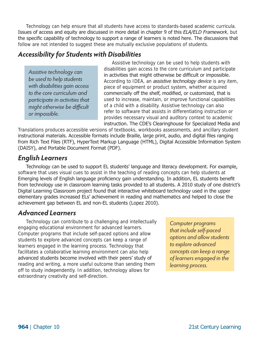Technology can help ensure that all students have access to standards-based academic curricula. Issues of access and equity are discussed in more detail in chapter 9 of this *ELA/ELD Framework*, but the specific capability of technology to support a range of learners is noted here. The discussions that follow are not intended to suggest these are mutually exclusive populations of students.

### <span id="page-28-0"></span>*Accessibility for Students with Disabilities*

*Assistive technology can be used to help students with disabilities gain access to the core curriculum and participate in activities that might otherwise be difficult or impossible.* 

Assistive technology can be used to help students with disabilities gain access to the core curriculum and participate in activities that might otherwise be difficult or impossible. According to IDEA, an *assistive technology device* is any item, piece of equipment or product system, whether acquired commercially off the shelf, modified, or customized, that is used to increase, maintain, or improve functional capabilities of a child with a disability. Assistive technology can also refer to software that assists in differentiating instruction or provides necessary visual and auditory context to academic nstruction. The CDE's Clearinghouse for Specialized Media and i

Translations produces accessible versions of textbooks, workbooks assessments, and ancillary student instructional materials. Accessible formats include Braille, large print, audio, and digital files ranging from Rich Text Files (RTF), HyperText Markup Language (HTML), Digital Accessible Information System (DAISY), and Portable Document Format (PDF).

### <span id="page-28-1"></span>*English Learners*

Technology can be used to support EL students' language and literacy development. For example, software that uses visual cues to assist in the teaching of reading concepts can help students at Emerging levels of English language proficiency gain understanding. In addition, EL students benefit from technology use in classroom learning tasks provided to all students. A 2010 study of one district's Digital Learning Classroom project found that interactive whiteboard technology used in the upper elementary grades increased ELs' achievement in reading and mathematics and helped to close the achievement gap between EL and non-EL students (Lopez 2010).

### <span id="page-28-2"></span>*Advanced Learners*

<span id="page-28-3"></span>Technology can contribute to a challenging and intellectually engaging educational environment for advanced learners. Computer programs that include self-paced options and allow students to explore advanced concepts can keep a range of learners engaged in the learning process. Technology that facilitates a collaborative learning environment can also help advanced students become involved with their peers' study of reading and writing, a more useful outcome than sending them off to study independently. In addition, technology allows for extraordinary creativity and self-direction.

*Computer programs that include self-paced options and allow students to explore advanced concepts can keep a range of learners engaged in the learning process.*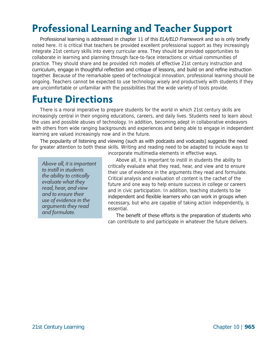# <span id="page-29-0"></span>**Professional Learning and Teacher Support**

Professional learning is addressed in chapter 11 of this *ELA/ELD Framework* and so is only briefly noted here. It is critical that teachers be provided excellent professional support as they increasingly integrate 21st century skills into every curricular area. They should be provided opportunities to collaborate in learning and planning through face-to-face interactions or virtual communities of practice. They should share and be provided rich models of effective 21st century instruction and curriculum, engage in thoughtful reflection and critique of lessons, and build on and refine instruction together. Because of the remarkable speed of technological innovation, professional learning should be ongoing. Teachers cannot be expected to use technology wisely and productively with students if they are uncomfortable or unfamiliar with the possibilities that the wide variety of tools provide.

# <span id="page-29-1"></span>**Future Directions**

There is a moral imperative to prepare students for the world in which 21st century skills are increasingly central in their ongoing educations, careers, and daily lives. Students need to learn about the uses and possible abuses of technology. In addition, becoming adept in collaborative endeavors with others from wide ranging backgrounds and experiences and being able to engage in independent learning are valued increasingly now and in the future.

The popularity of listening and viewing (such as with podcasts and vodcasts) suggests the need for greater attention to both these skills. Writing and reading need to be adapted to include ways to

*to instill in students the ability to critically evaluate what they read, hear, and view and to ensure their use of evidence in the arguments they read and formulate.* 

incorporate multimedia elements in effective ways.

Above all, it is important to instill in students the ability to *Above all, it is important*  critically evaluate what they read, hear, and view and to ensure their use of evidence in the arguments they read and formulate. Critical analysis and evaluation of content is the cachet of the future and one way to help ensure success in college or careers and in civic participation. In addition, teaching students to be independent and flexible learners who can work in groups when necessary, but who are capable of taking action independently, is essential.

> The benefit of these efforts is the preparation of students who can contribute to and participate in whatever the future delivers.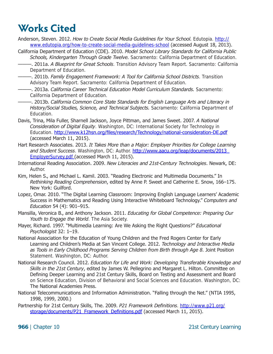# <span id="page-30-0"></span>**Works Cited**

- Anderson, Steven. 2012. *How to Create Social Media Guidelines for Your School.* Edutopia. [http://](http://www.edutopia.org/how-to-create-social-media-guidelines-school) [www.edutopia.org/how-to-create-social-media-guidelines-school](http://www.edutopia.org/how-to-create-social-media-guidelines-school) (accessed August 18, 2013).
- California Department of Education (CDE). 2010. *Model School Library Standards for California Public Schools, Kindergarten Through Grade Twelve.* Sacramento: California Department of Education.
	- ———. 2011a. *A Blueprint for Great Schools*. Transition Advisory Team Report. Sacramento: California Department of Education.
- ———. 2011b. *Family Engagement Framework: A Tool for California School Districts*. Transition Advisory Team Report. Sacramento: California Department of Education.
- ———. 2013a. *California Career Technical Education Model Curriculum Standards.* Sacramento: California Department of Education.
- ———. 2013b. *California Common Core State Standards for English Language Arts and Literacy in History/Social Studies, Science, and Technical Subjects.* Sacramento: California Department of Education.
- Davis, Trina, Mila Fuller, Sharnell Jackson, Joyce Pittman, and James Sweet. 2007. *A National Consideration of Digital Equity*. Washington, DC: International Society for Technology in Education. [http://www.k12hsn.org/files/research/Technology/national-consideration-DE.pdf](https://www.researchgate.net/publication/234680441_A_National_Consideration_of_Digital_Equity) (accessed March 11, 2015).
- Hart Research Associates. 2013. *It Takes More than a Major: Employer Priorities for College Learning and Student Success*. Washington, DC: Author. [http://www.aacu.org/leap/documents/2013\\_](http://www.aacu.org/leap/documents/2013_EmployerSurvey.pdf)  [EmployerSurvey.pdf](http://www.aacu.org/leap/documents/2013_EmployerSurvey.pdf) (accessed March 11, 2015).
- International Reading Association. 2009. *New Literacies and 21st-Century Technologies*. Newark, DE: Author.
- Kim, Helen S., and Michael L. Kamil. 2003. "Reading Electronic and Multimedia Documents." In *Rethinking Reading Comprehension*, edited by Anne P. Sweet and Catherine E. Snow, 166–175. New York: Guilford.
- Lopez, Omar. 2010. "The Digital Learning Classroom: Improving English Language Learners' Academic Success in Mathematics and Reading Using Interactive Whiteboard Technology." *Computers and Education* 54 (4): 901–915.
- Mansilla, Veronica B., and Anthony Jackson. 2011. *Educating for Global Competence: Preparing Our Youth to Engage the World*. The Asia Society.
- Mayer, Richard. 1997. "Multimedia Learning: Are We Asking the Right Questions?" *Educational Psychologist* 32: 1–19.
- National Association for the Education of Young Children and the Fred Rogers Center for Early Learning and Children's Media at San Vincent College. 2012. *Technology and Interactive Media as Tools in Early Childhood Programs Serving Children from Birth through Age 8*. Joint Position Statement. Washington, DC: Author.
- National Research Council. 2012. *Education for Life and Work: Developing Transferable Knowledge and Skills in the 21st Century*, edited by James W. Pellegrino and Margaret L. Hilton. Committee on Defining Deeper Learning and 21st Century Skills, Board on Testing and Assessment and Board on Science Education, Division of Behavioral and Social Sciences and Education. Washington, DC: The National Academies Press.
- National Telecommunications and Information Administration. "Falling through the Net." (NTIA 1995, 1998, 1999, 2000.)
- Partnership for 21st Century Skills, The. 2009. *P21 Framework Definitions*. [http://www.p21.org/](http://www.p21.org/storage/documents/P21_Framework_Definitions.pdf)  [storage/documents/P21\\_Framework\\_Definitions.pdf](http://www.p21.org/storage/documents/P21_Framework_Definitions.pdf) (accessed March 11, 2015).

**966** | Chapter 10